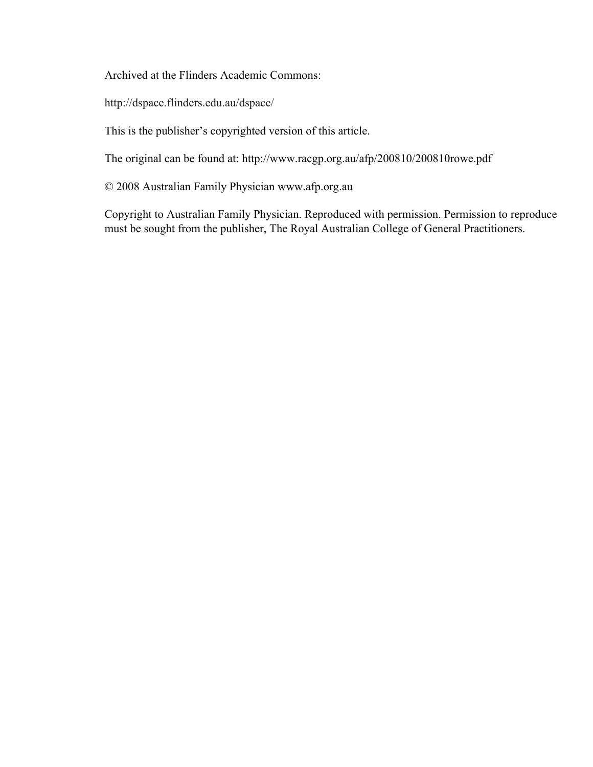Archived at the Flinders Academic Commons:

http://dspace.flinders.edu.au/dspace/

This is the publisher's copyrighted version of this article.

The original can be found at: http://www.racgp.org.au/afp/200810/200810rowe.pdf

© 2008 Australian Family Physician www.afp.org.au

Copyright to Australian Family Physician. Reproduced with permission. Permission to reproduce must be sought from the publisher, The Royal Australian College of General Practitioners.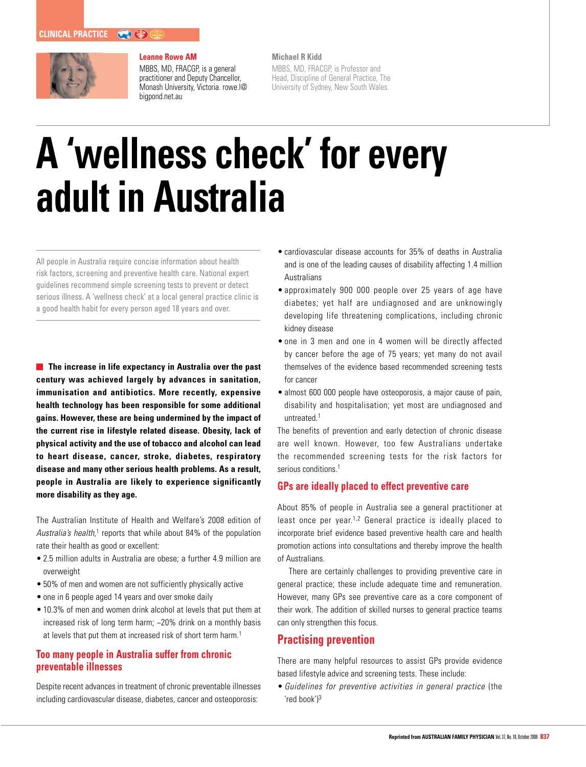

### **Leanne Rowe AM**

MBBS, MD, FRACGP, is a general practitioner and Deputy Chancellor, Monash University, Victoria. rowe.l@ bigpond.net.au

**Michael R Kidd** 

MBBS, MD, FRACGP, is Professor and Head, Discipline of General Practice, The University of Sydney, New South Wales.

# **A 'wellness check' for every adult in Australia**

All people in Australia require concise information about health risk factors, screening and preventive health care. National expert guidelines recommend simple screening tests to prevent or detect serious illness. A 'wellness check' at a local general practice clinic is a good health habit for every person aged 18 years and over.

**The increase in life expectancy in Australia over the past century was achieved largely by advances in sanitation, immunisation and antibiotics. More recently, expensive health technology has been responsible for some additional gains. However, these are being undermined by the impact of the current rise in lifestyle related disease. Obesity, lack of physical activity and the use of tobacco and alcohol can lead to heart disease, cancer, stroke, diabetes, respiratory disease and many other serious health problems. As a result, people in Australia are likely to experience significantly more disability as they age.** 

The Australian Institute of Health and Welfare's 2008 edition of Australia's health,<sup>1</sup> reports that while about 84% of the population rate their health as good or excellent:

- 2.5 million adults in Australia are obese; a further 4.9 million are overweight
- 50% of men and women are not sufficiently physically active
- one in 6 people aged 14 years and over smoke daily
- 10.3% of men and women drink alcohol at levels that put them at increased risk of long term harm; ~20% drink on a monthly basis at levels that put them at increased risk of short term harm.<sup>1</sup>

## **Too many people in Australia suffer from chronic preventable illnesses**

Despite recent advances in treatment of chronic preventable illnesses including cardiovascular disease, diabetes, cancer and osteoporosis:

- cardiovascular disease accounts for 35% of deaths in Australia and is one of the leading causes of disability affecting 1.4 million Australians
- approximately 900 000 people over 25 years of age have diabetes; yet half are undiagnosed and are unknowingly developing life threatening complications, including chronic kidney disease
- one in 3 men and one in 4 women will be directly affected by cancer before the age of 75 years; yet many do not avail themselves of the evidence based recommended screening tests for cancer
- almost 600 000 people have osteoporosis, a major cause of pain, disability and hospitalisation; yet most are undiagnosed and untreated.1

The benefits of prevention and early detection of chronic disease are well known. However, too few Australians undertake the recommended screening tests for the risk factors for serious conditions.<sup>1</sup>

## **GPs are ideally placed to effect preventive care**

About 85% of people in Australia see a general practitioner at least once per year.<sup>1,2</sup> General practice is ideally placed to incorporate brief evidence based preventive health care and health promotion actions into consultations and thereby improve the health of Australians.

There are certainly challenges to providing preventive care in general practice; these include adequate time and remuneration. However, many GPs see preventive care as a core component of their work. The addition of skilled nurses to general practice teams can only strengthen this focus.

## **Practising prevention**

There are many helpful resources to assist GPs provide evidence based lifestyle advice and screening tests. These include:

• Guidelines for preventive activities in general practice (the 'red book')<sup>3</sup>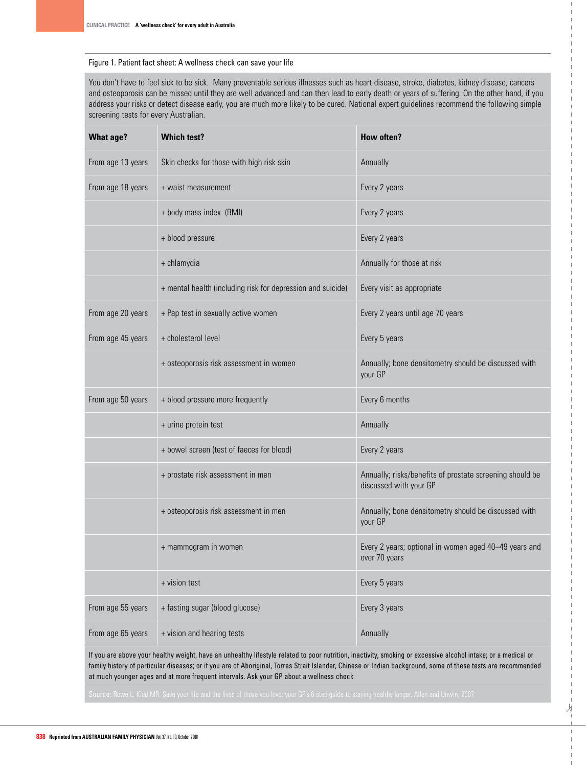#### Figure 1. Patient fact sheet: A wellness check can save your life

You don't have to feel sick to be sick. Many preventable serious illnesses such as heart disease, stroke, diabetes, kidney disease, cancers and osteoporosis can be missed until they are well advanced and can then lead to early death or years of suffering. On the other hand, if you address your risks or detect disease early, you are much more likely to be cured. National expert guidelines recommend the following simple screening tests for every Australian.

| <b>What age?</b>  | <b>Which test?</b>                                          | How often?                                                                         |
|-------------------|-------------------------------------------------------------|------------------------------------------------------------------------------------|
| From age 13 years | Skin checks for those with high risk skin                   | Annually                                                                           |
| From age 18 years | + waist measurement                                         | Every 2 years                                                                      |
|                   | + body mass index (BMI)                                     | Every 2 years                                                                      |
|                   | + blood pressure                                            | Every 2 years                                                                      |
|                   | + chlamydia                                                 | Annually for those at risk                                                         |
|                   | + mental health (including risk for depression and suicide) | Every visit as appropriate                                                         |
| From age 20 years | + Pap test in sexually active women                         | Every 2 years until age 70 years                                                   |
| From age 45 years | + cholesterol level                                         | Every 5 years                                                                      |
|                   | + osteoporosis risk assessment in women                     | Annually; bone densitometry should be discussed with<br>your GP                    |
| From age 50 years | + blood pressure more frequently                            | Every 6 months                                                                     |
|                   | + urine protein test                                        | Annually                                                                           |
|                   | + bowel screen (test of faeces for blood)                   | Every 2 years                                                                      |
|                   | + prostate risk assessment in men                           | Annually; risks/benefits of prostate screening should be<br>discussed with your GP |
|                   | + osteoporosis risk assessment in men                       | Annually; bone densitometry should be discussed with<br>your GP                    |
|                   | + mammogram in women                                        | Every 2 years; optional in women aged 40-49 years and<br>over 70 years             |
|                   | + vision test                                               | Every 5 years                                                                      |
| From age 55 years | + fasting sugar (blood glucose)                             | Every 3 years                                                                      |
| From age 65 years | + vision and hearing tests                                  | Annually                                                                           |

If you are above your healthy weight, have an unhealthy lifestyle related to poor nutrition, inactivity, smoking or excessive alcohol intake; or a medical or family history of particular diseases; or if you are of Aboriginal, Torres Strait Islander, Chinese or Indian background, some of these tests are recommended at much younger ages and at more frequent intervals. Ask your GP about a wellness check

.)